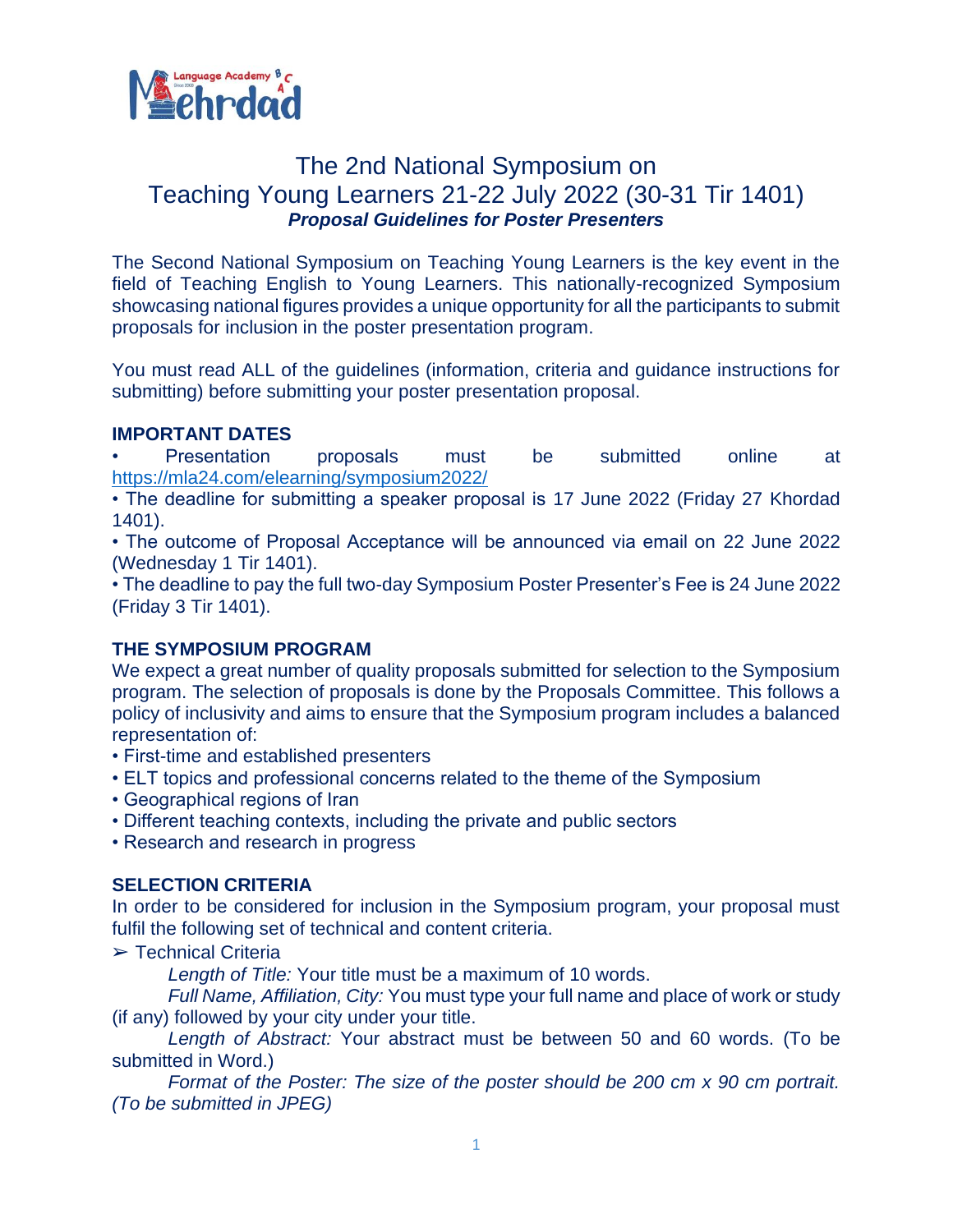

# The 2nd National Symposium on Teaching Young Learners 21-22 July 2022 (30-31 Tir 1401) *Proposal Guidelines for Poster Presenters*

The Second National Symposium on Teaching Young Learners is the key event in the field of Teaching English to Young Learners. This nationally-recognized Symposium showcasing national figures provides a unique opportunity for all the participants to submit proposals for inclusion in the poster presentation program.

You must read ALL of the guidelines (information, criteria and guidance instructions for submitting) before submitting your poster presentation proposal.

## **IMPORTANT DATES**

• Presentation proposals must be submitted online at <https://mla24.com/elearning/symposium2022/>

• The deadline for submitting a speaker proposal is 17 June 2022 (Friday 27 Khordad 1401).

• The outcome of Proposal Acceptance will be announced via email on 22 June 2022 (Wednesday 1 Tir 1401).

• The deadline to pay the full two-day Symposium Poster Presenter's Fee is 24 June 2022 (Friday 3 Tir 1401).

## **THE SYMPOSIUM PROGRAM**

We expect a great number of quality proposals submitted for selection to the Symposium program. The selection of proposals is done by the Proposals Committee. This follows a policy of inclusivity and aims to ensure that the Symposium program includes a balanced representation of:

- First-time and established presenters
- ELT topics and professional concerns related to the theme of the Symposium
- Geographical regions of Iran
- Different teaching contexts, including the private and public sectors
- Research and research in progress

## **SELECTION CRITERIA**

In order to be considered for inclusion in the Symposium program, your proposal must fulfil the following set of technical and content criteria.

➢ Technical Criteria

*Length of Title:* Your title must be a maximum of 10 words.

*Full Name, Affiliation, City:* You must type your full name and place of work or study (if any) followed by your city under your title.

*Length of Abstract:* Your abstract must be between 50 and 60 words. (To be submitted in Word.)

*Format of the Poster: The size of the poster should be 200 cm x 90 cm portrait. (To be submitted in JPEG)*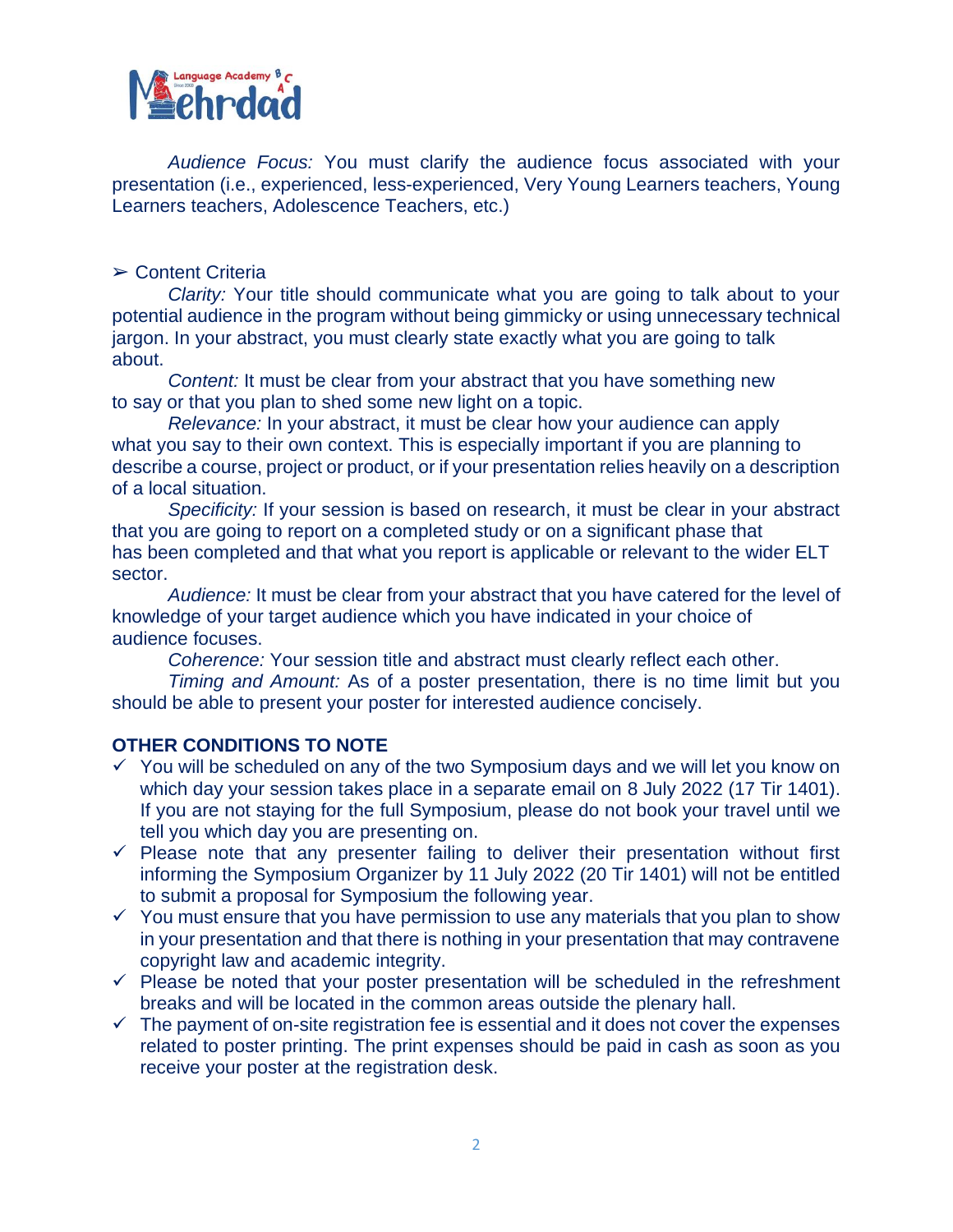

*Audience Focus:* You must clarify the audience focus associated with your presentation (i.e., experienced, less-experienced, Very Young Learners teachers, Young Learners teachers, Adolescence Teachers, etc.)

#### ➢ Content Criteria

*Clarity:* Your title should communicate what you are going to talk about to your potential audience in the program without being gimmicky or using unnecessary technical jargon. In your abstract, you must clearly state exactly what you are going to talk about.

*Content:* It must be clear from your abstract that you have something new to say or that you plan to shed some new light on a topic.

*Relevance:* In your abstract, it must be clear how your audience can apply what you say to their own context. This is especially important if you are planning to describe a course, project or product, or if your presentation relies heavily on a description of a local situation.

*Specificity:* If your session is based on research, it must be clear in your abstract that you are going to report on a completed study or on a significant phase that has been completed and that what you report is applicable or relevant to the wider ELT sector.

*Audience:* It must be clear from your abstract that you have catered for the level of knowledge of your target audience which you have indicated in your choice of audience focuses.

*Coherence:* Your session title and abstract must clearly reflect each other.

*Timing and Amount:* As of a poster presentation, there is no time limit but you should be able to present your poster for interested audience concisely.

## **OTHER CONDITIONS TO NOTE**

- $\checkmark$  You will be scheduled on any of the two Symposium days and we will let you know on which day your session takes place in a separate email on 8 July 2022 (17 Tir 1401). If you are not staying for the full Symposium, please do not book your travel until we tell you which day you are presenting on.
- $\checkmark$  Please note that any presenter failing to deliver their presentation without first informing the Symposium Organizer by 11 July 2022 (20 Tir 1401) will not be entitled to submit a proposal for Symposium the following year.
- $\checkmark$  You must ensure that you have permission to use any materials that you plan to show in your presentation and that there is nothing in your presentation that may contravene copyright law and academic integrity.
- $\checkmark$  Please be noted that your poster presentation will be scheduled in the refreshment breaks and will be located in the common areas outside the plenary hall.
- $\checkmark$  The payment of on-site registration fee is essential and it does not cover the expenses related to poster printing. The print expenses should be paid in cash as soon as you receive your poster at the registration desk.